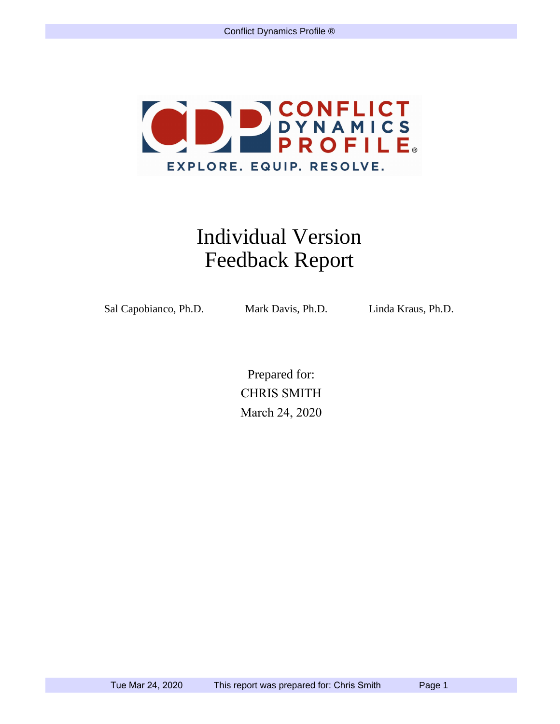

## Individual Version Feedback Report

Sal Capobianco, Ph.D. Mark Davis, Ph.D. Linda Kraus, Ph.D.

Prepared for: CHRIS SMITH March 24, 2020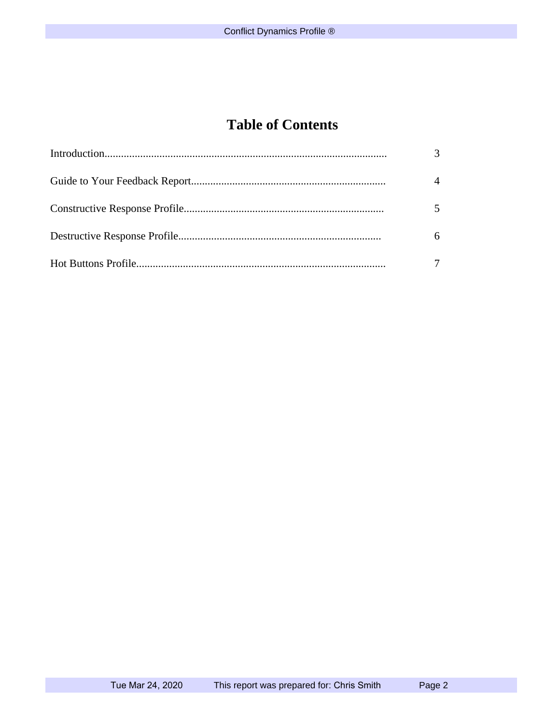## **Table of Contents**

| $\mathcal{R}$ |
|---------------|
| $\Delta$      |
| 5             |
| 6             |
|               |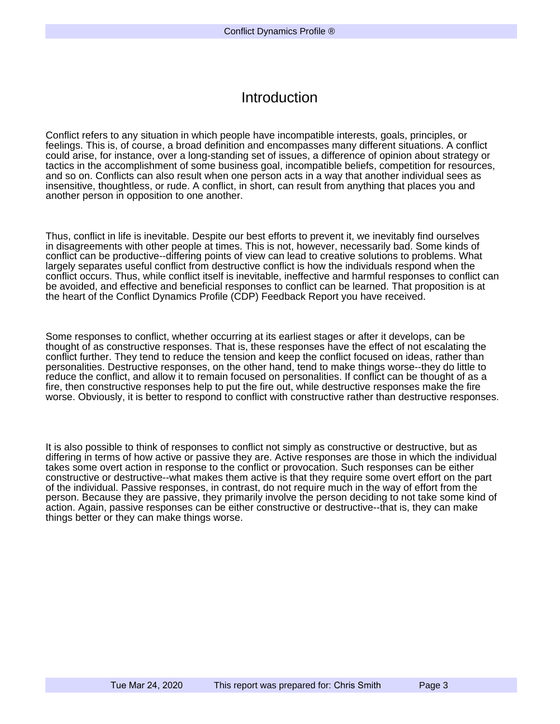### Introduction

Conflict refers to any situation in which people have incompatible interests, goals, principles, or feelings. This is, of course, a broad definition and encompasses many different situations. A conflict could arise, for instance, over a long-standing set of issues, a difference of opinion about strategy or tactics in the accomplishment of some business goal, incompatible beliefs, competition for resources, and so on. Conflicts can also result when one person acts in a way that another individual sees as insensitive, thoughtless, or rude. A conflict, in short, can result from anything that places you and another person in opposition to one another.

Thus, conflict in life is inevitable. Despite our best efforts to prevent it, we inevitably find ourselves in disagreements with other people at times. This is not, however, necessarily bad. Some kinds of conflict can be productive--differing points of view can lead to creative solutions to problems. What largely separates useful conflict from destructive conflict is how the individuals respond when the conflict occurs. Thus, while conflict itself is inevitable, ineffective and harmful responses to conflict can be avoided, and effective and beneficial responses to conflict can be learned. That proposition is at the heart of the Conflict Dynamics Profile (CDP) Feedback Report you have received.

Some responses to conflict, whether occurring at its earliest stages or after it develops, can be thought of as constructive responses. That is, these responses have the effect of not escalating the conflict further. They tend to reduce the tension and keep the conflict focused on ideas, rather than personalities. Destructive responses, on the other hand, tend to make things worse--they do little to reduce the conflict, and allow it to remain focused on personalities. If conflict can be thought of as a fire, then constructive responses help to put the fire out, while destructive responses make the fire worse. Obviously, it is better to respond to conflict with constructive rather than destructive responses.

It is also possible to think of responses to conflict not simply as constructive or destructive, but as differing in terms of how active or passive they are. Active responses are those in which the individual takes some overt action in response to the conflict or provocation. Such responses can be either constructive or destructive--what makes them active is that they require some overt effort on the part of the individual. Passive responses, in contrast, do not require much in the way of effort from the person. Because they are passive, they primarily involve the person deciding to not take some kind of action. Again, passive responses can be either constructive or destructive--that is, they can make things better or they can make things worse.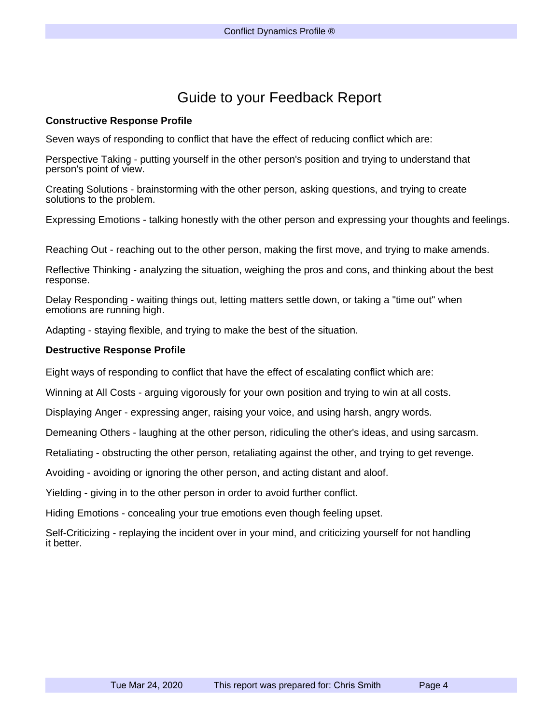### Guide to your Feedback Report

#### **Constructive Response Profile**

Seven ways of responding to conflict that have the effect of reducing conflict which are:

Perspective Taking - putting yourself in the other person's position and trying to understand that person's point of view.

Creating Solutions - brainstorming with the other person, asking questions, and trying to create solutions to the problem.

Expressing Emotions - talking honestly with the other person and expressing your thoughts and feelings.

Reaching Out - reaching out to the other person, making the first move, and trying to make amends.

Reflective Thinking - analyzing the situation, weighing the pros and cons, and thinking about the best response.

Delay Responding - waiting things out, letting matters settle down, or taking a "time out" when emotions are running high.

Adapting - staying flexible, and trying to make the best of the situation.

#### **Destructive Response Profile**

Eight ways of responding to conflict that have the effect of escalating conflict which are:

Winning at All Costs - arguing vigorously for your own position and trying to win at all costs.

Displaying Anger - expressing anger, raising your voice, and using harsh, angry words.

Demeaning Others - laughing at the other person, ridiculing the other's ideas, and using sarcasm.

Retaliating - obstructing the other person, retaliating against the other, and trying to get revenge.

Avoiding - avoiding or ignoring the other person, and acting distant and aloof.

Yielding - giving in to the other person in order to avoid further conflict.

Hiding Emotions - concealing your true emotions even though feeling upset.

Self-Criticizing - replaying the incident over in your mind, and criticizing yourself for not handling it better.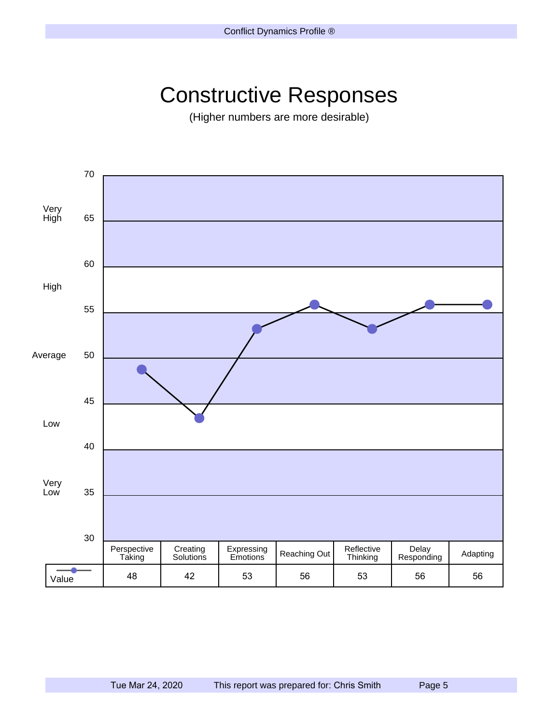# Constructive Responses

(Higher numbers are more desirable)

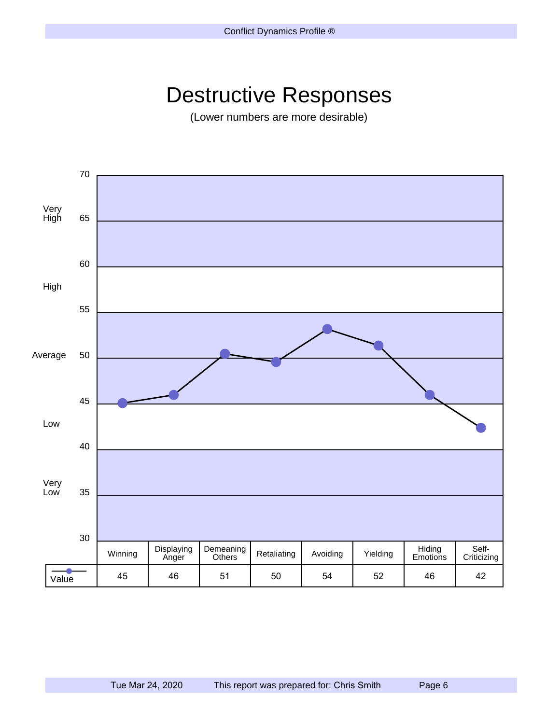# Destructive Responses

(Lower numbers are more desirable)

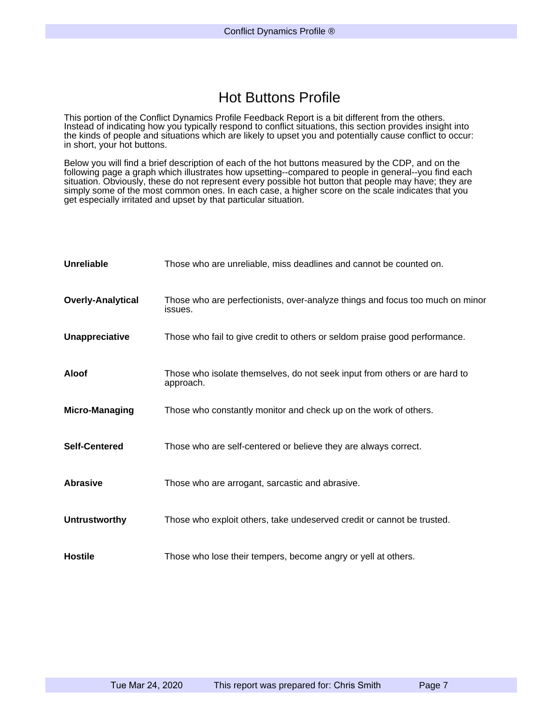### Hot Buttons Profile

This portion of the Conflict Dynamics Profile Feedback Report is a bit different from the others. Instead of indicating how you typically respond to conflict situations, this section provides insight into the kinds of people and situations which are likely to upset you and potentially cause conflict to occur: in short, your hot buttons.

Below you will find a brief description of each of the hot buttons measured by the CDP, and on the following page a graph which illustrates how upsetting--compared to people in general--you find each situation. Obviously, these do not represent every possible hot button that people may have; they are simply some of the most common ones. In each case, a higher score on the scale indicates that you get especially irritated and upset by that particular situation.

| Unreliable               | Those who are unreliable, miss deadlines and cannot be counted on.                       |
|--------------------------|------------------------------------------------------------------------------------------|
| <b>Overly-Analytical</b> | Those who are perfectionists, over-analyze things and focus too much on minor<br>issues. |
| Unappreciative           | Those who fail to give credit to others or seldom praise good performance.               |
| Aloof                    | Those who isolate themselves, do not seek input from others or are hard to<br>approach.  |
| <b>Micro-Managing</b>    | Those who constantly monitor and check up on the work of others.                         |
| <b>Self-Centered</b>     | Those who are self-centered or believe they are always correct.                          |
| <b>Abrasive</b>          | Those who are arrogant, sarcastic and abrasive.                                          |
| <b>Untrustworthy</b>     | Those who exploit others, take undeserved credit or cannot be trusted.                   |
| <b>Hostile</b>           | Those who lose their tempers, become angry or yell at others.                            |